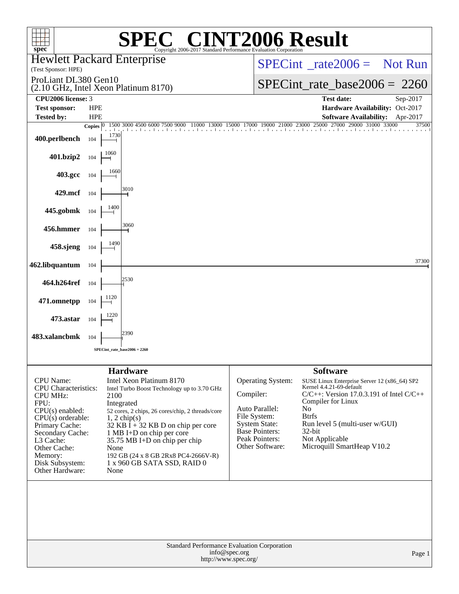| <b>72006 Result</b><br>$spec^*$<br>Copyright 2006-2017 Standard Performance Evaluation Corporation                                                                                                                                         |                                                                                                                                                                                                                                                                                                                                                                       |                                                                                      |                                                                                                                                                        |                                                                                                                                                                                                                                                                      |          |  |  |  |  |
|--------------------------------------------------------------------------------------------------------------------------------------------------------------------------------------------------------------------------------------------|-----------------------------------------------------------------------------------------------------------------------------------------------------------------------------------------------------------------------------------------------------------------------------------------------------------------------------------------------------------------------|--------------------------------------------------------------------------------------|--------------------------------------------------------------------------------------------------------------------------------------------------------|----------------------------------------------------------------------------------------------------------------------------------------------------------------------------------------------------------------------------------------------------------------------|----------|--|--|--|--|
| (Test Sponsor: HPE)                                                                                                                                                                                                                        | <b>Hewlett Packard Enterprise</b>                                                                                                                                                                                                                                                                                                                                     |                                                                                      | $SPECint^*_{\text{}} \text{rate2006} = \text{Not Run}$                                                                                                 |                                                                                                                                                                                                                                                                      |          |  |  |  |  |
| ProLiant DL380 Gen10                                                                                                                                                                                                                       | (2.10 GHz, Intel Xeon Platinum 8170)                                                                                                                                                                                                                                                                                                                                  |                                                                                      | $SPECint_rate_base2006 = 2260$                                                                                                                         |                                                                                                                                                                                                                                                                      |          |  |  |  |  |
| CPU2006 license: 3<br><b>Test sponsor:</b>                                                                                                                                                                                                 | <b>HPE</b>                                                                                                                                                                                                                                                                                                                                                            |                                                                                      | <b>Test date:</b><br>Hardware Availability: Oct-2017                                                                                                   | Sep-2017                                                                                                                                                                                                                                                             |          |  |  |  |  |
| <b>Tested by:</b>                                                                                                                                                                                                                          | <b>HPE</b>                                                                                                                                                                                                                                                                                                                                                            |                                                                                      |                                                                                                                                                        | <b>Software Availability:</b>                                                                                                                                                                                                                                        | Apr-2017 |  |  |  |  |
|                                                                                                                                                                                                                                            | 1500 3000 4500 6000 7500 9000<br>Copies $ 0\rangle$                                                                                                                                                                                                                                                                                                                   | 15000<br>11000<br>13000                                                              |                                                                                                                                                        | 17000 19000 21000 23000 25000 27000 29<br>29000 31000 33000                                                                                                                                                                                                          | 37500    |  |  |  |  |
| 400.perlbench                                                                                                                                                                                                                              | 1730<br>104                                                                                                                                                                                                                                                                                                                                                           |                                                                                      |                                                                                                                                                        |                                                                                                                                                                                                                                                                      |          |  |  |  |  |
| 401.bzip2                                                                                                                                                                                                                                  | 1060<br>104                                                                                                                                                                                                                                                                                                                                                           |                                                                                      |                                                                                                                                                        |                                                                                                                                                                                                                                                                      |          |  |  |  |  |
| 403.gcc                                                                                                                                                                                                                                    | 104                                                                                                                                                                                                                                                                                                                                                                   |                                                                                      |                                                                                                                                                        |                                                                                                                                                                                                                                                                      |          |  |  |  |  |
| 429.mcf                                                                                                                                                                                                                                    | 3010<br>104                                                                                                                                                                                                                                                                                                                                                           |                                                                                      |                                                                                                                                                        |                                                                                                                                                                                                                                                                      |          |  |  |  |  |
| 445.gobmk                                                                                                                                                                                                                                  | 104                                                                                                                                                                                                                                                                                                                                                                   |                                                                                      |                                                                                                                                                        |                                                                                                                                                                                                                                                                      |          |  |  |  |  |
| 456.hmmer                                                                                                                                                                                                                                  | 3060<br>104                                                                                                                                                                                                                                                                                                                                                           |                                                                                      |                                                                                                                                                        |                                                                                                                                                                                                                                                                      |          |  |  |  |  |
| 458.sjeng                                                                                                                                                                                                                                  | 104                                                                                                                                                                                                                                                                                                                                                                   |                                                                                      |                                                                                                                                                        |                                                                                                                                                                                                                                                                      |          |  |  |  |  |
| 462.libquantum                                                                                                                                                                                                                             | 104                                                                                                                                                                                                                                                                                                                                                                   |                                                                                      |                                                                                                                                                        |                                                                                                                                                                                                                                                                      | 37300    |  |  |  |  |
| 464.h264ref                                                                                                                                                                                                                                | 2530<br>104                                                                                                                                                                                                                                                                                                                                                           |                                                                                      |                                                                                                                                                        |                                                                                                                                                                                                                                                                      |          |  |  |  |  |
| 471.omnetpp                                                                                                                                                                                                                                | 1120<br>104                                                                                                                                                                                                                                                                                                                                                           |                                                                                      |                                                                                                                                                        |                                                                                                                                                                                                                                                                      |          |  |  |  |  |
| 473.astar                                                                                                                                                                                                                                  | 104                                                                                                                                                                                                                                                                                                                                                                   |                                                                                      |                                                                                                                                                        |                                                                                                                                                                                                                                                                      |          |  |  |  |  |
| 483.xalancbmk                                                                                                                                                                                                                              | 2390<br>104                                                                                                                                                                                                                                                                                                                                                           |                                                                                      |                                                                                                                                                        |                                                                                                                                                                                                                                                                      |          |  |  |  |  |
|                                                                                                                                                                                                                                            | SPECint rate base $2006 = 2260$                                                                                                                                                                                                                                                                                                                                       |                                                                                      |                                                                                                                                                        |                                                                                                                                                                                                                                                                      |          |  |  |  |  |
|                                                                                                                                                                                                                                            | <b>Hardware</b>                                                                                                                                                                                                                                                                                                                                                       |                                                                                      |                                                                                                                                                        | <b>Software</b>                                                                                                                                                                                                                                                      |          |  |  |  |  |
| <b>CPU</b> Name:<br><b>CPU</b> Characteristics:<br><b>CPU MHz:</b><br>FPU:<br>$CPU(s)$ enabled:<br>$CPU(s)$ orderable:<br>Primary Cache:<br>Secondary Cache:<br>L3 Cache:<br>Other Cache:<br>Memory:<br>Disk Subsystem:<br>Other Hardware: | Intel Xeon Platinum 8170<br>Intel Turbo Boost Technology up to 3.70 GHz<br>2100<br>Integrated<br>52 cores, 2 chips, 26 cores/chip, 2 threads/core<br>$1, 2$ chip(s)<br>32 KB $\hat{I}$ + 32 KB D on chip per core<br>1 MB I+D on chip per core<br>35.75 MB I+D on chip per chip<br>None<br>192 GB (24 x 8 GB 2Rx8 PC4-2666V-R)<br>1 x 960 GB SATA SSD, RAID 0<br>None |                                                                                      | Operating System:<br>Compiler:<br>Auto Parallel:<br>File System:<br><b>System State:</b><br><b>Base Pointers:</b><br>Peak Pointers:<br>Other Software: | SUSE Linux Enterprise Server 12 (x86_64) SP2<br>Kernel 4.4.21-69-default<br>$C/C++$ : Version 17.0.3.191 of Intel $C/C++$<br>Compiler for Linux<br>No<br><b>Btrfs</b><br>Run level 5 (multi-user w/GUI)<br>$32$ -bit<br>Not Applicable<br>Microquill SmartHeap V10.2 |          |  |  |  |  |
|                                                                                                                                                                                                                                            |                                                                                                                                                                                                                                                                                                                                                                       | Standard Performance Evaluation Corporation<br>info@spec.org<br>http://www.spec.org/ |                                                                                                                                                        |                                                                                                                                                                                                                                                                      | Page 1   |  |  |  |  |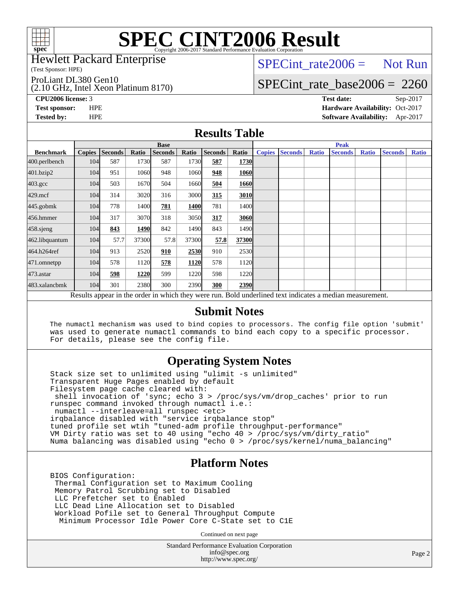

# **[SPEC CINT2006 Result](http://www.spec.org/auto/cpu2006/Docs/result-fields.html#SPECCINT2006Result)**

Hewlett Packard Enterprise

(Test Sponsor: HPE)

ProLiant DL380 Gen10

(2.10 GHz, Intel Xeon Platinum 8170)

 $SPECTnt_rate2006 = Not Run$ 

### [SPECint\\_rate\\_base2006 =](http://www.spec.org/auto/cpu2006/Docs/result-fields.html#SPECintratebase2006) 2260

**[CPU2006 license:](http://www.spec.org/auto/cpu2006/Docs/result-fields.html#CPU2006license)** 3 **[Test date:](http://www.spec.org/auto/cpu2006/Docs/result-fields.html#Testdate)** Sep-2017 **[Test sponsor:](http://www.spec.org/auto/cpu2006/Docs/result-fields.html#Testsponsor)** HPE **[Hardware Availability:](http://www.spec.org/auto/cpu2006/Docs/result-fields.html#HardwareAvailability)** Oct-2017 **[Tested by:](http://www.spec.org/auto/cpu2006/Docs/result-fields.html#Testedby)** HPE **[Software Availability:](http://www.spec.org/auto/cpu2006/Docs/result-fields.html#SoftwareAvailability)** Apr-2017

### **[Results Table](http://www.spec.org/auto/cpu2006/Docs/result-fields.html#ResultsTable)**

|                                                                                                          | <b>Base</b>   |                |       |                |       |                | <b>Peak</b>       |               |                |              |                |              |                |              |
|----------------------------------------------------------------------------------------------------------|---------------|----------------|-------|----------------|-------|----------------|-------------------|---------------|----------------|--------------|----------------|--------------|----------------|--------------|
| <b>Benchmark</b>                                                                                         | <b>Copies</b> | <b>Seconds</b> | Ratio | <b>Seconds</b> | Ratio | <b>Seconds</b> | Ratio             | <b>Copies</b> | <b>Seconds</b> | <b>Ratio</b> | <b>Seconds</b> | <b>Ratio</b> | <b>Seconds</b> | <b>Ratio</b> |
| 400.perlbench                                                                                            | 104           | 587            | 1730  | 587            | 1730  | 587            | 1730              |               |                |              |                |              |                |              |
| 401.bzip2                                                                                                | 104           | 951            | 1060  | 948            | 1060  | 948            | 1060              |               |                |              |                |              |                |              |
| $403.\mathrm{gcc}$                                                                                       | 104           | 503            | 1670  | 504            | 1660  | 504            | 1660              |               |                |              |                |              |                |              |
| $429$ .mcf                                                                                               | 104           | 314            | 3020  | 316            | 3000  | 315            | 3010              |               |                |              |                |              |                |              |
| $445$ .gobm $k$                                                                                          | 104           | 778            | 1400  | 781            | 1400  | 781            | 1400              |               |                |              |                |              |                |              |
| 456.hmmer                                                                                                | 104           | 317            | 3070  | 318            | 3050  | 317            | 3060              |               |                |              |                |              |                |              |
| $458$ .sjeng                                                                                             | 104           | 843            | 1490  | 842            | 1490  | 843            | 1490 <sub>l</sub> |               |                |              |                |              |                |              |
| 462.libquantum                                                                                           | 104           | 57.7           | 37300 | 57.8           | 37300 | 57.8           | 37300             |               |                |              |                |              |                |              |
| 464.h264ref                                                                                              | 104           | 913            | 2520  | 910            | 2530  | 910            | 2530              |               |                |              |                |              |                |              |
| 471.omnetpp                                                                                              | 104           | 578            | 1120  | 578            | 1120  | 578            | 1120              |               |                |              |                |              |                |              |
| $473$ . astar                                                                                            | 104           | 598            | 1220  | 599            | 1220  | 598            | 1220              |               |                |              |                |              |                |              |
| 483.xalancbmk                                                                                            | 104           | 301            | 2380  | 300            | 2390  | 300            | 2390              |               |                |              |                |              |                |              |
| Results appear in the order in which they were run. Bold underlined text indicates a median measurement. |               |                |       |                |       |                |                   |               |                |              |                |              |                |              |

#### **[Submit Notes](http://www.spec.org/auto/cpu2006/Docs/result-fields.html#SubmitNotes)**

 The numactl mechanism was used to bind copies to processors. The config file option 'submit' was used to generate numactl commands to bind each copy to a specific processor. For details, please see the config file.

### **[Operating System Notes](http://www.spec.org/auto/cpu2006/Docs/result-fields.html#OperatingSystemNotes)**

 Stack size set to unlimited using "ulimit -s unlimited" Transparent Huge Pages enabled by default Filesystem page cache cleared with: shell invocation of 'sync; echo 3 > /proc/sys/vm/drop\_caches' prior to run runspec command invoked through numactl i.e.: numactl --interleave=all runspec <etc> irqbalance disabled with "service irqbalance stop" tuned profile set wtih "tuned-adm profile throughput-performance" VM Dirty ratio was set to 40 using "echo 40 > /proc/sys/vm/dirty\_ratio" Numa balancing was disabled using "echo 0 > /proc/sys/kernel/numa\_balancing"

### **[Platform Notes](http://www.spec.org/auto/cpu2006/Docs/result-fields.html#PlatformNotes)**

 BIOS Configuration: Thermal Configuration set to Maximum Cooling Memory Patrol Scrubbing set to Disabled LLC Prefetcher set to Enabled LLC Dead Line Allocation set to Disabled Workload Pofile set to General Throughput Compute Minimum Processor Idle Power Core C-State set to C1E

Continued on next page

Standard Performance Evaluation Corporation [info@spec.org](mailto:info@spec.org) <http://www.spec.org/>

Page 2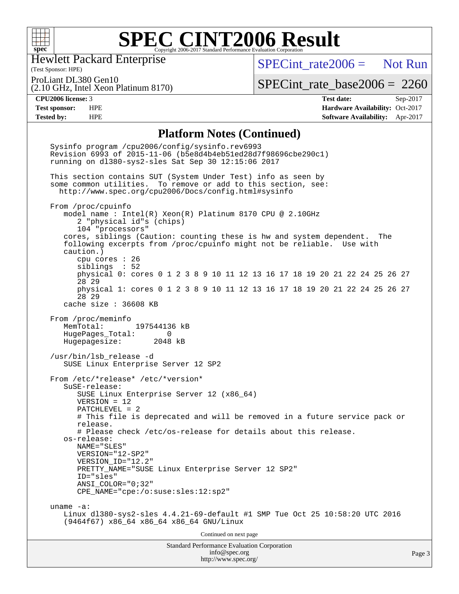

### **[SPEC CINT2006 Result](http://www.spec.org/auto/cpu2006/Docs/result-fields.html#SPECCINT2006Result)** Copyright 2006-2017 Standard Performance Evaluation Corporation

Hewlett Packard Enterprise

 $SPECint rate2006 =$  Not Run

(Test Sponsor: HPE) ProLiant DL380 Gen10

(2.10 GHz, Intel Xeon Platinum 8170)

[SPECint\\_rate\\_base2006 =](http://www.spec.org/auto/cpu2006/Docs/result-fields.html#SPECintratebase2006) 2260

**[CPU2006 license:](http://www.spec.org/auto/cpu2006/Docs/result-fields.html#CPU2006license)** 3 **[Test date:](http://www.spec.org/auto/cpu2006/Docs/result-fields.html#Testdate)** Sep-2017 **[Test sponsor:](http://www.spec.org/auto/cpu2006/Docs/result-fields.html#Testsponsor)** HPE **[Hardware Availability:](http://www.spec.org/auto/cpu2006/Docs/result-fields.html#HardwareAvailability)** Oct-2017 **[Tested by:](http://www.spec.org/auto/cpu2006/Docs/result-fields.html#Testedby)** HPE **[Software Availability:](http://www.spec.org/auto/cpu2006/Docs/result-fields.html#SoftwareAvailability)** Apr-2017

#### **[Platform Notes \(Continued\)](http://www.spec.org/auto/cpu2006/Docs/result-fields.html#PlatformNotes)**

Standard Performance Evaluation Corporation [info@spec.org](mailto:info@spec.org) Page 3 Sysinfo program /cpu2006/config/sysinfo.rev6993 Revision 6993 of 2015-11-06 (b5e8d4b4eb51ed28d7f98696cbe290c1) running on dl380-sys2-sles Sat Sep 30 12:15:06 2017 This section contains SUT (System Under Test) info as seen by some common utilities. To remove or add to this section, see: <http://www.spec.org/cpu2006/Docs/config.html#sysinfo> From /proc/cpuinfo model name : Intel(R) Xeon(R) Platinum 8170 CPU @ 2.10GHz 2 "physical id"s (chips) 104 "processors" cores, siblings (Caution: counting these is hw and system dependent. The following excerpts from /proc/cpuinfo might not be reliable. Use with caution.) cpu cores : 26 siblings : 52 physical 0: cores 0 1 2 3 8 9 10 11 12 13 16 17 18 19 20 21 22 24 25 26 27 28 29 physical 1: cores 0 1 2 3 8 9 10 11 12 13 16 17 18 19 20 21 22 24 25 26 27 28 29 cache size : 36608 KB From /proc/meminfo MemTotal: 197544136 kB HugePages\_Total: 0 Hugepagesize: 2048 kB /usr/bin/lsb\_release -d SUSE Linux Enterprise Server 12 SP2 From /etc/\*release\* /etc/\*version\* SuSE-release: SUSE Linux Enterprise Server 12 (x86\_64) VERSION = 12 PATCHLEVEL = 2 # This file is deprecated and will be removed in a future service pack or release. # Please check /etc/os-release for details about this release. os-release: NAME="SLES" VERSION="12-SP2" VERSION\_ID="12.2" PRETTY NAME="SUSE Linux Enterprise Server 12 SP2" ID="sles" ANSI\_COLOR="0;32" CPE\_NAME="cpe:/o:suse:sles:12:sp2" uname -a: Linux dl380-sys2-sles 4.4.21-69-default #1 SMP Tue Oct 25 10:58:20 UTC 2016 (9464f67) x86\_64 x86\_64 x86\_64 GNU/Linux Continued on next page

<http://www.spec.org/>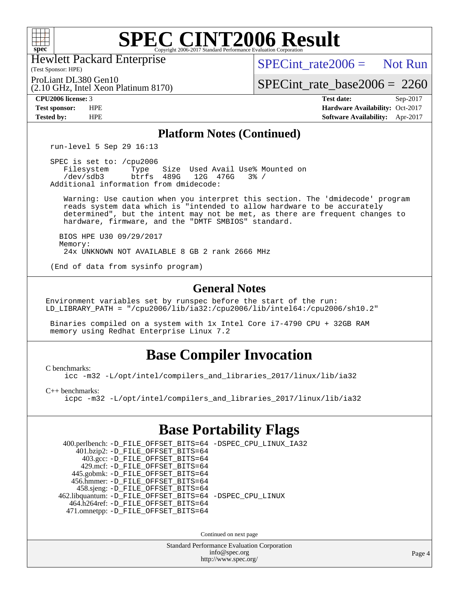

# **[SPEC CINT2006 Result](http://www.spec.org/auto/cpu2006/Docs/result-fields.html#SPECCINT2006Result)**

(Test Sponsor: HPE) Hewlett Packard Enterprise

(2.10 GHz, Intel Xeon Platinum 8170)

 $SPECint rate2006 =$  Not Run

ProLiant DL380 Gen10

[SPECint\\_rate\\_base2006 =](http://www.spec.org/auto/cpu2006/Docs/result-fields.html#SPECintratebase2006) 2260

**[CPU2006 license:](http://www.spec.org/auto/cpu2006/Docs/result-fields.html#CPU2006license)** 3 **[Test date:](http://www.spec.org/auto/cpu2006/Docs/result-fields.html#Testdate)** Sep-2017 **[Test sponsor:](http://www.spec.org/auto/cpu2006/Docs/result-fields.html#Testsponsor)** HPE **[Hardware Availability:](http://www.spec.org/auto/cpu2006/Docs/result-fields.html#HardwareAvailability)** Oct-2017 **[Tested by:](http://www.spec.org/auto/cpu2006/Docs/result-fields.html#Testedby)** HPE **[Software Availability:](http://www.spec.org/auto/cpu2006/Docs/result-fields.html#SoftwareAvailability)** Apr-2017

### **[Platform Notes \(Continued\)](http://www.spec.org/auto/cpu2006/Docs/result-fields.html#PlatformNotes)**

run-level 5 Sep 29 16:13

 SPEC is set to: /cpu2006 Filesystem Type Size Used Avail Use% Mounted on<br>
/dev/sdb3 btrfs 489G 12G 476G 3% / 12G 476G 3% / Additional information from dmidecode:

 Warning: Use caution when you interpret this section. The 'dmidecode' program reads system data which is "intended to allow hardware to be accurately determined", but the intent may not be met, as there are frequent changes to hardware, firmware, and the "DMTF SMBIOS" standard.

 BIOS HPE U30 09/29/2017 Memory: 24x UNKNOWN NOT AVAILABLE 8 GB 2 rank 2666 MHz

(End of data from sysinfo program)

### **[General Notes](http://www.spec.org/auto/cpu2006/Docs/result-fields.html#GeneralNotes)**

Environment variables set by runspec before the start of the run: LD\_LIBRARY\_PATH = "/cpu2006/lib/ia32:/cpu2006/lib/intel64:/cpu2006/sh10.2"

 Binaries compiled on a system with 1x Intel Core i7-4790 CPU + 32GB RAM memory using Redhat Enterprise Linux 7.2

# **[Base Compiler Invocation](http://www.spec.org/auto/cpu2006/Docs/result-fields.html#BaseCompilerInvocation)**

[C benchmarks](http://www.spec.org/auto/cpu2006/Docs/result-fields.html#Cbenchmarks):

[icc -m32 -L/opt/intel/compilers\\_and\\_libraries\\_2017/linux/lib/ia32](http://www.spec.org/cpu2006/results/res2017q4/cpu2006-20171002-50253.flags.html#user_CCbase_intel_icc_c29f3ff5a7ed067b11e4ec10a03f03ae)

[C++ benchmarks:](http://www.spec.org/auto/cpu2006/Docs/result-fields.html#CXXbenchmarks)

[icpc -m32 -L/opt/intel/compilers\\_and\\_libraries\\_2017/linux/lib/ia32](http://www.spec.org/cpu2006/results/res2017q4/cpu2006-20171002-50253.flags.html#user_CXXbase_intel_icpc_8c35c7808b62dab9ae41a1aa06361b6b)

# **[Base Portability Flags](http://www.spec.org/auto/cpu2006/Docs/result-fields.html#BasePortabilityFlags)**

 400.perlbench: [-D\\_FILE\\_OFFSET\\_BITS=64](http://www.spec.org/cpu2006/results/res2017q4/cpu2006-20171002-50253.flags.html#user_basePORTABILITY400_perlbench_file_offset_bits_64_438cf9856305ebd76870a2c6dc2689ab) [-DSPEC\\_CPU\\_LINUX\\_IA32](http://www.spec.org/cpu2006/results/res2017q4/cpu2006-20171002-50253.flags.html#b400.perlbench_baseCPORTABILITY_DSPEC_CPU_LINUX_IA32) 401.bzip2: [-D\\_FILE\\_OFFSET\\_BITS=64](http://www.spec.org/cpu2006/results/res2017q4/cpu2006-20171002-50253.flags.html#user_basePORTABILITY401_bzip2_file_offset_bits_64_438cf9856305ebd76870a2c6dc2689ab) 403.gcc: [-D\\_FILE\\_OFFSET\\_BITS=64](http://www.spec.org/cpu2006/results/res2017q4/cpu2006-20171002-50253.flags.html#user_basePORTABILITY403_gcc_file_offset_bits_64_438cf9856305ebd76870a2c6dc2689ab) 429.mcf: [-D\\_FILE\\_OFFSET\\_BITS=64](http://www.spec.org/cpu2006/results/res2017q4/cpu2006-20171002-50253.flags.html#user_basePORTABILITY429_mcf_file_offset_bits_64_438cf9856305ebd76870a2c6dc2689ab) 445.gobmk: [-D\\_FILE\\_OFFSET\\_BITS=64](http://www.spec.org/cpu2006/results/res2017q4/cpu2006-20171002-50253.flags.html#user_basePORTABILITY445_gobmk_file_offset_bits_64_438cf9856305ebd76870a2c6dc2689ab) 456.hmmer: [-D\\_FILE\\_OFFSET\\_BITS=64](http://www.spec.org/cpu2006/results/res2017q4/cpu2006-20171002-50253.flags.html#user_basePORTABILITY456_hmmer_file_offset_bits_64_438cf9856305ebd76870a2c6dc2689ab) 458.sjeng: [-D\\_FILE\\_OFFSET\\_BITS=64](http://www.spec.org/cpu2006/results/res2017q4/cpu2006-20171002-50253.flags.html#user_basePORTABILITY458_sjeng_file_offset_bits_64_438cf9856305ebd76870a2c6dc2689ab) 462.libquantum: [-D\\_FILE\\_OFFSET\\_BITS=64](http://www.spec.org/cpu2006/results/res2017q4/cpu2006-20171002-50253.flags.html#user_basePORTABILITY462_libquantum_file_offset_bits_64_438cf9856305ebd76870a2c6dc2689ab) [-DSPEC\\_CPU\\_LINUX](http://www.spec.org/cpu2006/results/res2017q4/cpu2006-20171002-50253.flags.html#b462.libquantum_baseCPORTABILITY_DSPEC_CPU_LINUX) 464.h264ref: [-D\\_FILE\\_OFFSET\\_BITS=64](http://www.spec.org/cpu2006/results/res2017q4/cpu2006-20171002-50253.flags.html#user_basePORTABILITY464_h264ref_file_offset_bits_64_438cf9856305ebd76870a2c6dc2689ab) 471.omnetpp: [-D\\_FILE\\_OFFSET\\_BITS=64](http://www.spec.org/cpu2006/results/res2017q4/cpu2006-20171002-50253.flags.html#user_basePORTABILITY471_omnetpp_file_offset_bits_64_438cf9856305ebd76870a2c6dc2689ab)

Continued on next page

Standard Performance Evaluation Corporation [info@spec.org](mailto:info@spec.org) <http://www.spec.org/>

Page 4